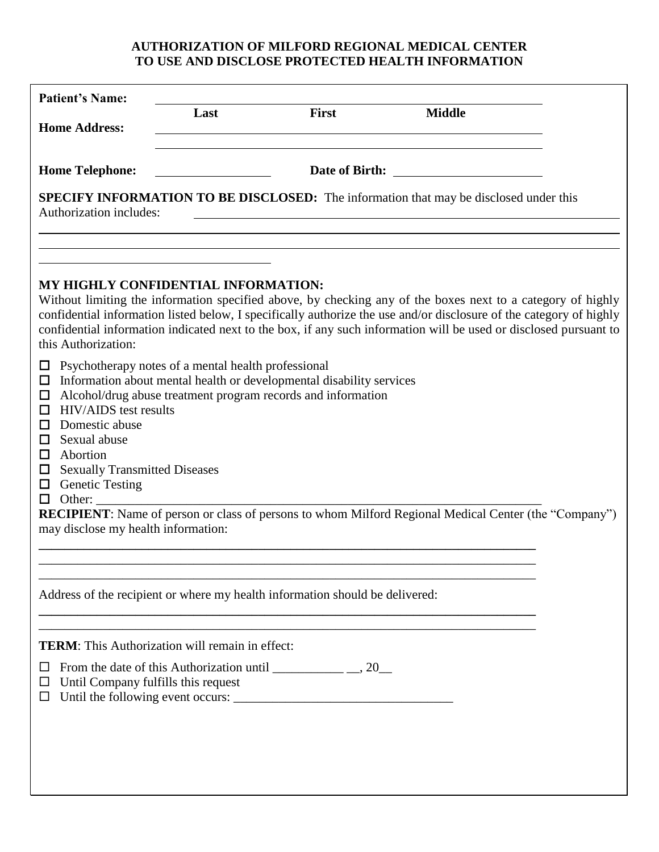## **AUTHORIZATION OF MILFORD REGIONAL MEDICAL CENTER TO USE AND DISCLOSE PROTECTED HEALTH INFORMATION**

|                                                          | <b>Patient's Name:</b>                                                                                                                                                                                     |                                                                                                                                                                                                                                    |              |                                                                                                                                                                                                                                                                                                                                                                                                                                                                  |  |
|----------------------------------------------------------|------------------------------------------------------------------------------------------------------------------------------------------------------------------------------------------------------------|------------------------------------------------------------------------------------------------------------------------------------------------------------------------------------------------------------------------------------|--------------|------------------------------------------------------------------------------------------------------------------------------------------------------------------------------------------------------------------------------------------------------------------------------------------------------------------------------------------------------------------------------------------------------------------------------------------------------------------|--|
| <b>Home Address:</b>                                     |                                                                                                                                                                                                            | Last                                                                                                                                                                                                                               | <b>First</b> | <b>Middle</b>                                                                                                                                                                                                                                                                                                                                                                                                                                                    |  |
|                                                          | <b>Home Telephone:</b>                                                                                                                                                                                     |                                                                                                                                                                                                                                    |              |                                                                                                                                                                                                                                                                                                                                                                                                                                                                  |  |
|                                                          | Authorization includes:                                                                                                                                                                                    |                                                                                                                                                                                                                                    |              | SPECIFY INFORMATION TO BE DISCLOSED: The information that may be disclosed under this                                                                                                                                                                                                                                                                                                                                                                            |  |
| $\Box$<br>□<br>□<br>ப<br>ப<br>П<br>ப<br>$\Box$<br>$\Box$ | this Authorization:<br><b>HIV/AIDS</b> test results<br>Domestic abuse<br>Sexual abuse<br>Abortion<br><b>Sexually Transmitted Diseases</b><br><b>Genetic Testing</b><br>may disclose my health information: | MY HIGHLY CONFIDENTIAL INFORMATION:<br>Psychotherapy notes of a mental health professional<br>Information about mental health or developmental disability services<br>Alcohol/drug abuse treatment program records and information |              | Without limiting the information specified above, by checking any of the boxes next to a category of highly<br>confidential information listed below, I specifically authorize the use and/or disclosure of the category of highly<br>confidential information indicated next to the box, if any such information will be used or disclosed pursuant to<br>RECIPIENT: Name of person or class of persons to whom Milford Regional Medical Center (the "Company") |  |
|                                                          |                                                                                                                                                                                                            | Address of the recipient or where my health information should be delivered:                                                                                                                                                       |              |                                                                                                                                                                                                                                                                                                                                                                                                                                                                  |  |
| ப<br>ப<br>ப                                              | Until Company fulfills this request                                                                                                                                                                        | <b>TERM:</b> This Authorization will remain in effect:<br>From the date of this Authorization until $\frac{1}{1}$ , 20                                                                                                             |              |                                                                                                                                                                                                                                                                                                                                                                                                                                                                  |  |